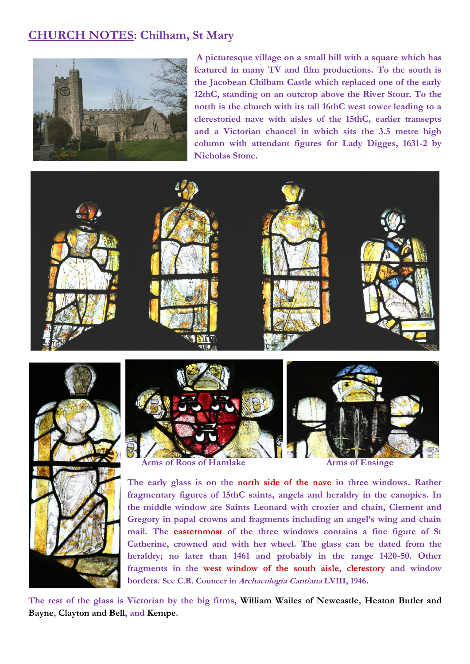## **CHURCH NOTES: Chilham, St Mary**



**A picturesque village on a small hill with a square which has featured in many TV and film productions. To the south is the Jacobean Chilham Castle which replaced one of the early 12thC, standing on an outcrop above the River Stour. To the north is the church with its tall 16thC west tower leading to a clerestoried nave with aisles of the 15thC, earlier transepts and a Victorian chancel in which sits the 3.5 metre high column with attendant figures for Lady Digges, 1631-2 by Nicholas Stone.** 







**Arms of Roos of Hamlake Arms of Ensinge** 

**The early glass is on the north side of the nave in three windows. Rather fragmentary figures of 15thC saints, angels and heraldry in the canopies. In the middle window are Saints Leonard with crozier and chain, Clement and Gregory in papal crowns and fragments including an angel's wing and chain mail. The easternmost of the three windows contains a fine figure of St Catherine, crowned and with her wheel. The glass can be dated from the heraldry; no later than 1461 and probably in the range 1420-50. Other fragments in the west window of the south aisle, clerestory and window borders. See C.R. Councer in Archaeologia Cantiana LVIII, 1946.**

**The rest of the glass is Victorian by the big firms, William Wailes of Newcastle, Heaton Butler and Bayne, Clayton and Bell, and Kempe.**